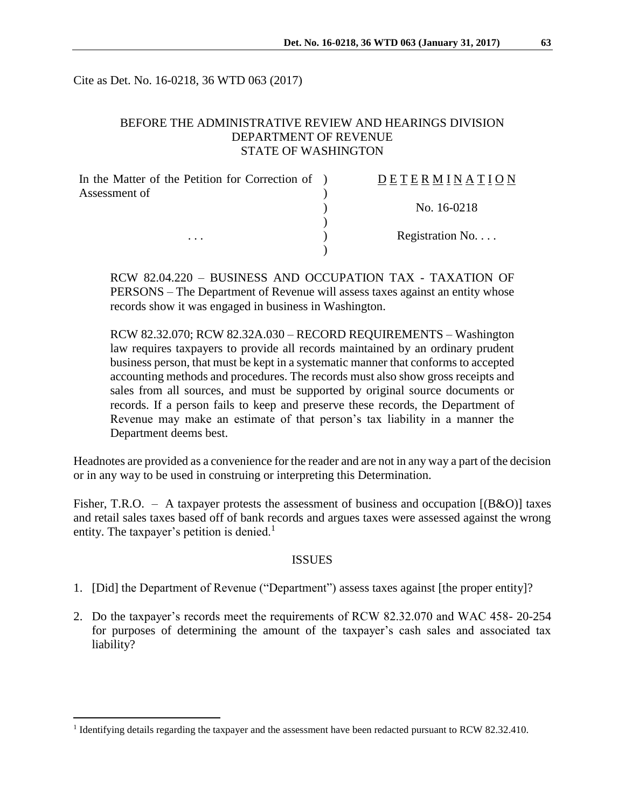Cite as Det. No. 16-0218, 36 WTD 063 (2017)

### BEFORE THE ADMINISTRATIVE REVIEW AND HEARINGS DIVISION DEPARTMENT OF REVENUE STATE OF WASHINGTON

| In the Matter of the Petition for Correction of ) | DETERMINATION            |
|---------------------------------------------------|--------------------------|
| Assessment of                                     |                          |
| $\cdots$                                          | No. 16-0218              |
|                                                   | Registration No. $\dots$ |
|                                                   |                          |

RCW 82.04.220 – BUSINESS AND OCCUPATION TAX - TAXATION OF PERSONS – The Department of Revenue will assess taxes against an entity whose records show it was engaged in business in Washington.

RCW 82.32.070; RCW 82.32A.030 – RECORD REQUIREMENTS – Washington law requires taxpayers to provide all records maintained by an ordinary prudent business person, that must be kept in a systematic manner that conforms to accepted accounting methods and procedures. The records must also show gross receipts and sales from all sources, and must be supported by original source documents or records. If a person fails to keep and preserve these records, the Department of Revenue may make an estimate of that person's tax liability in a manner the Department deems best.

Headnotes are provided as a convenience for the reader and are not in any way a part of the decision or in any way to be used in construing or interpreting this Determination.

Fisher, T.R.O. – A taxpayer protests the assessment of business and occupation [(B&O)] taxes and retail sales taxes based off of bank records and argues taxes were assessed against the wrong entity. The taxpayer's petition is denied.<sup>1</sup>

#### ISSUES

- 1. [Did] the Department of Revenue ("Department") assess taxes against [the proper entity]?
- 2. Do the taxpayer's records meet the requirements of RCW 82.32.070 and WAC 458- 20-254 for purposes of determining the amount of the taxpayer's cash sales and associated tax liability?

 $\overline{a}$ 

<sup>&</sup>lt;sup>1</sup> Identifying details regarding the taxpayer and the assessment have been redacted pursuant to RCW 82.32.410.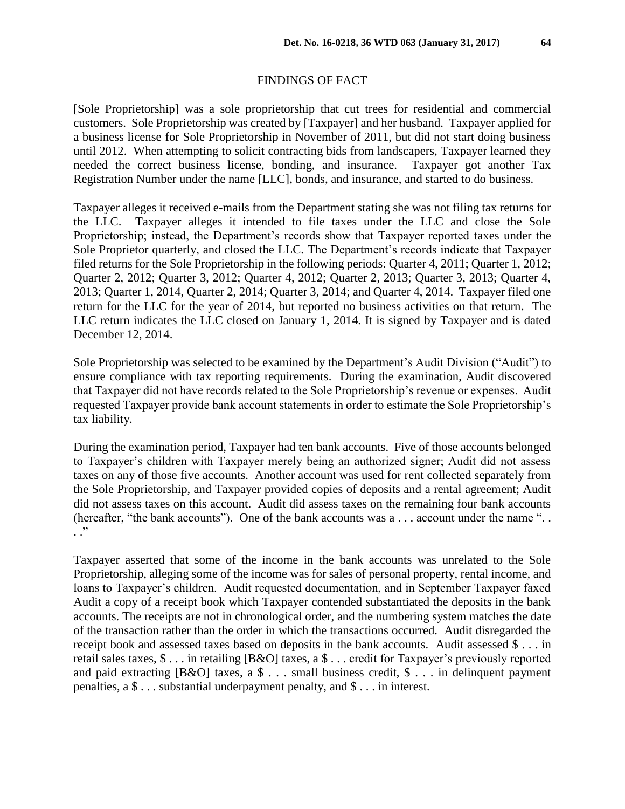#### FINDINGS OF FACT

[Sole Proprietorship] was a sole proprietorship that cut trees for residential and commercial customers. Sole Proprietorship was created by [Taxpayer] and her husband. Taxpayer applied for a business license for Sole Proprietorship in November of 2011, but did not start doing business until 2012. When attempting to solicit contracting bids from landscapers, Taxpayer learned they needed the correct business license, bonding, and insurance. Taxpayer got another Tax Registration Number under the name [LLC], bonds, and insurance, and started to do business.

Taxpayer alleges it received e-mails from the Department stating she was not filing tax returns for the LLC. Taxpayer alleges it intended to file taxes under the LLC and close the Sole Proprietorship; instead, the Department's records show that Taxpayer reported taxes under the Sole Proprietor quarterly, and closed the LLC. The Department's records indicate that Taxpayer filed returns for the Sole Proprietorship in the following periods: Quarter 4, 2011; Quarter 1, 2012; Quarter 2, 2012; Quarter 3, 2012; Quarter 4, 2012; Quarter 2, 2013; Quarter 3, 2013; Quarter 4, 2013; Quarter 1, 2014, Quarter 2, 2014; Quarter 3, 2014; and Quarter 4, 2014. Taxpayer filed one return for the LLC for the year of 2014, but reported no business activities on that return. The LLC return indicates the LLC closed on January 1, 2014. It is signed by Taxpayer and is dated December 12, 2014.

Sole Proprietorship was selected to be examined by the Department's Audit Division ("Audit") to ensure compliance with tax reporting requirements. During the examination, Audit discovered that Taxpayer did not have records related to the Sole Proprietorship's revenue or expenses. Audit requested Taxpayer provide bank account statements in order to estimate the Sole Proprietorship's tax liability.

During the examination period, Taxpayer had ten bank accounts. Five of those accounts belonged to Taxpayer's children with Taxpayer merely being an authorized signer; Audit did not assess taxes on any of those five accounts. Another account was used for rent collected separately from the Sole Proprietorship, and Taxpayer provided copies of deposits and a rental agreement; Audit did not assess taxes on this account. Audit did assess taxes on the remaining four bank accounts (hereafter, "the bank accounts"). One of the bank accounts was a . . . account under the name ". . . ."

Taxpayer asserted that some of the income in the bank accounts was unrelated to the Sole Proprietorship, alleging some of the income was for sales of personal property, rental income, and loans to Taxpayer's children. Audit requested documentation, and in September Taxpayer faxed Audit a copy of a receipt book which Taxpayer contended substantiated the deposits in the bank accounts. The receipts are not in chronological order, and the numbering system matches the date of the transaction rather than the order in which the transactions occurred. Audit disregarded the receipt book and assessed taxes based on deposits in the bank accounts. Audit assessed \$ . . . in retail sales taxes, \$ . . . in retailing [B&O] taxes, a \$ . . . credit for Taxpayer's previously reported and paid extracting [B&O] taxes, a \$ . . . small business credit, \$ . . . in delinquent payment penalties, a \$ . . . substantial underpayment penalty, and \$ . . . in interest.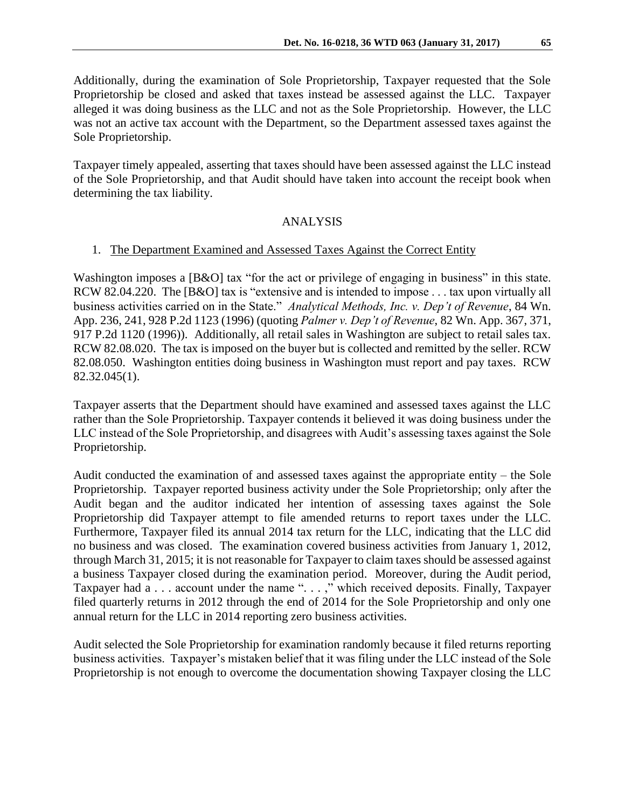Additionally, during the examination of Sole Proprietorship, Taxpayer requested that the Sole Proprietorship be closed and asked that taxes instead be assessed against the LLC. Taxpayer alleged it was doing business as the LLC and not as the Sole Proprietorship. However, the LLC was not an active tax account with the Department, so the Department assessed taxes against the Sole Proprietorship.

Taxpayer timely appealed, asserting that taxes should have been assessed against the LLC instead of the Sole Proprietorship, and that Audit should have taken into account the receipt book when determining the tax liability.

# ANALYSIS

### 1. The Department Examined and Assessed Taxes Against the Correct Entity

Washington imposes a [B&O] tax "for the act or privilege of engaging in business" in this state. RCW 82.04.220. The [B&O] tax is "extensive and is intended to impose . . . tax upon virtually all business activities carried on in the State." *Analytical Methods, Inc. v. Dep't of Revenue*, 84 Wn. App. 236, 241, 928 P.2d 1123 (1996) (quoting *Palmer v. Dep't of Revenue*, 82 Wn. App. 367, 371, 917 P.2d 1120 (1996)). Additionally, all retail sales in Washington are subject to retail sales tax. RCW 82.08.020. The tax is imposed on the buyer but is collected and remitted by the seller. RCW 82.08.050. Washington entities doing business in Washington must report and pay taxes. RCW 82.32.045(1).

Taxpayer asserts that the Department should have examined and assessed taxes against the LLC rather than the Sole Proprietorship. Taxpayer contends it believed it was doing business under the LLC instead of the Sole Proprietorship, and disagrees with Audit's assessing taxes against the Sole Proprietorship.

Audit conducted the examination of and assessed taxes against the appropriate entity – the Sole Proprietorship. Taxpayer reported business activity under the Sole Proprietorship; only after the Audit began and the auditor indicated her intention of assessing taxes against the Sole Proprietorship did Taxpayer attempt to file amended returns to report taxes under the LLC. Furthermore, Taxpayer filed its annual 2014 tax return for the LLC, indicating that the LLC did no business and was closed. The examination covered business activities from January 1, 2012, through March 31, 2015; it is not reasonable for Taxpayer to claim taxes should be assessed against a business Taxpayer closed during the examination period. Moreover, during the Audit period, Taxpayer had a . . . account under the name ". . . ," which received deposits. Finally, Taxpayer filed quarterly returns in 2012 through the end of 2014 for the Sole Proprietorship and only one annual return for the LLC in 2014 reporting zero business activities.

Audit selected the Sole Proprietorship for examination randomly because it filed returns reporting business activities. Taxpayer's mistaken belief that it was filing under the LLC instead of the Sole Proprietorship is not enough to overcome the documentation showing Taxpayer closing the LLC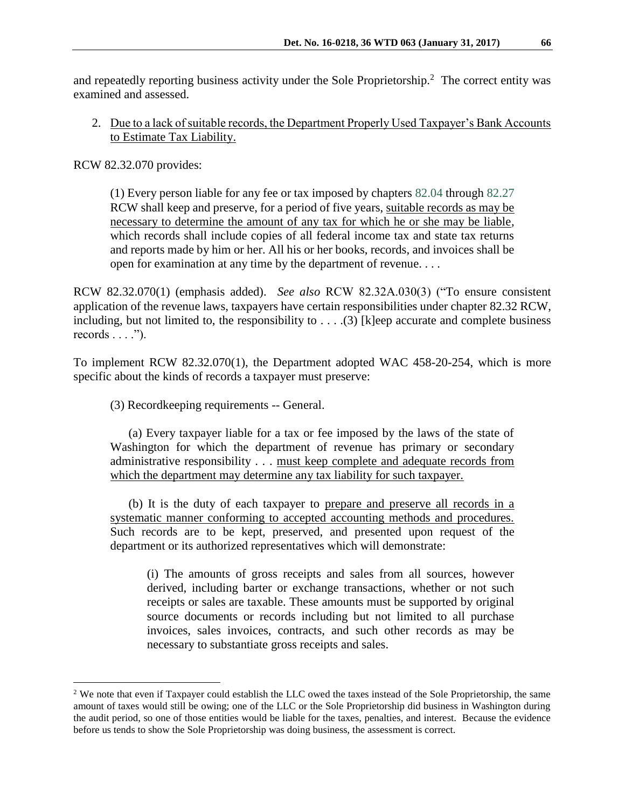and repeatedly reporting business activity under the Sole Proprietorship.<sup>2</sup> The correct entity was examined and assessed.

## 2. Due to a lack of suitable records, the Department Properly Used Taxpayer's Bank Accounts to Estimate Tax Liability.

RCW 82.32.070 provides:

 $\overline{a}$ 

(1) Every person liable for any fee or tax imposed by chapters [82.04](http://apps.leg.wa.gov/rcw/default.aspx?cite=82.04) through [82.27](http://apps.leg.wa.gov/rcw/default.aspx?cite=82.27) RCW shall keep and preserve, for a period of five years, suitable records as may be necessary to determine the amount of any tax for which he or she may be liable, which records shall include copies of all federal income tax and state tax returns and reports made by him or her. All his or her books, records, and invoices shall be open for examination at any time by the department of revenue. . . .

RCW 82.32.070(1) (emphasis added). *See also* RCW 82.32A.030(3) ("To ensure consistent application of the revenue laws, taxpayers have certain responsibilities under chapter 82.32 RCW, including, but not limited to, the responsibility to  $\dots$  . (3) [k]eep accurate and complete business records  $\dots$ .").

To implement RCW 82.32.070(1), the Department adopted WAC 458-20-254, which is more specific about the kinds of records a taxpayer must preserve:

(3) Recordkeeping requirements -- General.

(a) Every taxpayer liable for a tax or fee imposed by the laws of the state of Washington for which the department of revenue has primary or secondary administrative responsibility . . . must keep complete and adequate records from which the department may determine any tax liability for such taxpayer.

(b) It is the duty of each taxpayer to prepare and preserve all records in a systematic manner conforming to accepted accounting methods and procedures. Such records are to be kept, preserved, and presented upon request of the department or its authorized representatives which will demonstrate:

(i) The amounts of gross receipts and sales from all sources, however derived, including barter or exchange transactions, whether or not such receipts or sales are taxable. These amounts must be supported by original source documents or records including but not limited to all purchase invoices, sales invoices, contracts, and such other records as may be necessary to substantiate gross receipts and sales.

<sup>&</sup>lt;sup>2</sup> We note that even if Taxpayer could establish the LLC owed the taxes instead of the Sole Proprietorship, the same amount of taxes would still be owing; one of the LLC or the Sole Proprietorship did business in Washington during the audit period, so one of those entities would be liable for the taxes, penalties, and interest. Because the evidence before us tends to show the Sole Proprietorship was doing business, the assessment is correct.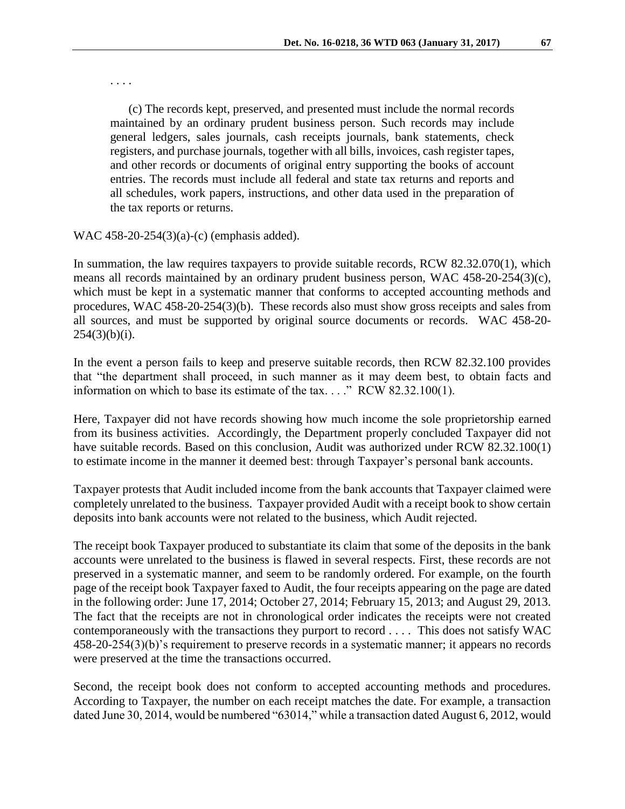. . . .

(c) The records kept, preserved, and presented must include the normal records maintained by an ordinary prudent business person. Such records may include general ledgers, sales journals, cash receipts journals, bank statements, check registers, and purchase journals, together with all bills, invoices, cash register tapes, and other records or documents of original entry supporting the books of account entries. The records must include all federal and state tax returns and reports and all schedules, work papers, instructions, and other data used in the preparation of the tax reports or returns.

WAC 458-20-254(3)(a)-(c) (emphasis added).

In summation, the law requires taxpayers to provide suitable records, RCW 82.32.070(1), which means all records maintained by an ordinary prudent business person, WAC 458-20-254(3)(c), which must be kept in a systematic manner that conforms to accepted accounting methods and procedures, WAC 458-20-254(3)(b). These records also must show gross receipts and sales from all sources, and must be supported by original source documents or records. WAC 458-20-  $254(3)(b)(i)$ .

In the event a person fails to keep and preserve suitable records, then RCW 82.32.100 provides that "the department shall proceed, in such manner as it may deem best, to obtain facts and information on which to base its estimate of the tax. . . ." RCW 82.32.100(1).

Here, Taxpayer did not have records showing how much income the sole proprietorship earned from its business activities. Accordingly, the Department properly concluded Taxpayer did not have suitable records. Based on this conclusion, Audit was authorized under RCW 82.32.100(1) to estimate income in the manner it deemed best: through Taxpayer's personal bank accounts.

Taxpayer protests that Audit included income from the bank accounts that Taxpayer claimed were completely unrelated to the business. Taxpayer provided Audit with a receipt book to show certain deposits into bank accounts were not related to the business, which Audit rejected.

The receipt book Taxpayer produced to substantiate its claim that some of the deposits in the bank accounts were unrelated to the business is flawed in several respects. First, these records are not preserved in a systematic manner, and seem to be randomly ordered. For example, on the fourth page of the receipt book Taxpayer faxed to Audit, the four receipts appearing on the page are dated in the following order: June 17, 2014; October 27, 2014; February 15, 2013; and August 29, 2013. The fact that the receipts are not in chronological order indicates the receipts were not created contemporaneously with the transactions they purport to record . . . . This does not satisfy WAC 458-20-254(3)(b)'s requirement to preserve records in a systematic manner; it appears no records were preserved at the time the transactions occurred.

Second, the receipt book does not conform to accepted accounting methods and procedures. According to Taxpayer, the number on each receipt matches the date. For example, a transaction dated June 30, 2014, would be numbered "63014," while a transaction dated August 6, 2012, would